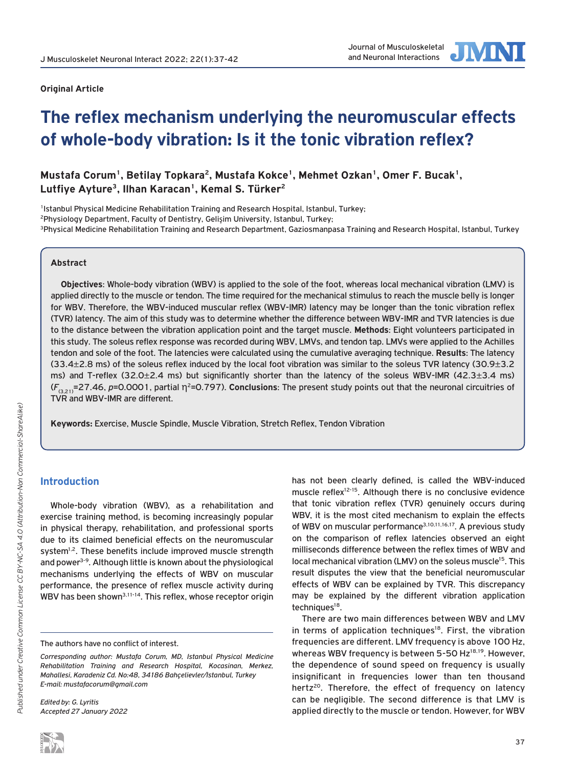

# **The reflex mechanism underlying the neuromuscular effects of whole-body vibration: Is it the tonic vibration reflex?**

Mustafa Corum<sup>1</sup>, Betilay Topkara<sup>2</sup>, Mustafa Kokce<sup>1</sup>, Mehmet Ozkan<sup>1</sup>, Omer F. Bucak<sup>1</sup>, **Lutfiye Ayture3, Ilhan Karacan1, Kemal S. Türker2**

<sup>1</sup>Istanbul Physical Medicine Rehabilitation Training and Research Hospital, Istanbul, Turkey; <sup>2</sup>Physiology Department, Faculty of Dentistry, Gelişim University, Istanbul, Turkey;<br><sup>3</sup>Physical Medicine Rehabilitation Training and Research Department, Gaziosmanpasa Training and Research Hospital, Istanbul, Turkey

## **Abstract**

**Objectives**: Whole-body vibration (WBV) is applied to the sole of the foot, whereas local mechanical vibration (LMV) is applied directly to the muscle or tendon. The time required for the mechanical stimulus to reach the muscle belly is longer for WBV. Therefore, the WBV-induced muscular reflex (WBV-IMR) latency may be longer than the tonic vibration reflex (TVR) latency. The aim of this study was to determine whether the difference between WBV-IMR and TVR latencies is due to the distance between the vibration application point and the target muscle. **Methods**: Eight volunteers participated in this study. The soleus reflex response was recorded during WBV, LMVs, and tendon tap. LMVs were applied to the Achilles tendon and sole of the foot. The latencies were calculated using the cumulative averaging technique. **Results**: The latency (33.4±2.8 ms) of the soleus reflex induced by the local foot vibration was similar to the soleus TVR latency (30.9±3.2 ms) and T-reflex (32.0±2.4 ms) but significantly shorter than the latency of the soleus WBV-IMR (42.3±3.4 ms) (*F*(3,21)=27.46, *p*=0.0001, partial η2=0.797). **Conclusions**: The present study points out that the neuronal circuitries of TVR and WBV-IMR are different.

**Keywords:** Exercise, Muscle Spindle, Muscle Vibration, Stretch Reflex, Tendon Vibration

## **Introduction**

Whole-body vibration (WBV), as a rehabilitation and exercise training method, is becoming increasingly popular in physical therapy, rehabilitation, and professional sports due to its claimed beneficial effects on the neuromuscular system<sup>1,2</sup>. These benefits include improved muscle strength and power<sup>3-9</sup>. Although little is known about the physiological mechanisms underlying the effects of WBV on muscular performance, the presence of reflex muscle activity during WBV has been shown<sup>3,11-14</sup>. This reflex, whose receptor origin

*Edited by: G. Lyritis Accepted 27 January 2022* has not been clearly defined, is called the WBV-induced muscle reflex<sup>12-15</sup>. Although there is no conclusive evidence that tonic vibration reflex (TVR) genuinely occurs during WBV, it is the most cited mechanism to explain the effects of WBV on muscular performance<sup>3,10,11,16,17</sup>. A previous study on the comparison of reflex latencies observed an eight milliseconds difference between the reflex times of WBV and local mechanical vibration (LMV) on the soleus muscle<sup>15</sup>. This result disputes the view that the beneficial neuromuscular effects of WBV can be explained by TVR. This discrepancy may be explained by the different vibration application techniques<sup>18</sup>.

There are two main differences between WBV and LMV in terms of application techniques<sup>18</sup>. First, the vibration frequencies are different. LMV frequency is above 100 Hz, whereas WBV frequency is between 5-50 Hz<sup>18,19</sup>. However, the dependence of sound speed on frequency is usually insignificant in frequencies lower than ten thousand hertz<sup>20</sup>. Therefore, the effect of frequency on latency can be negligible. The second difference is that LMV is applied directly to the muscle or tendon. However, for WBV

The authors have no conflict of interest.

*Corresponding author: Mustafa Corum, MD, Istanbul Physical Medicine Rehabilitation Training and Research Hospital, Kocasinan, Merkez, Mahallesi, Karadeniz Cd. No:48, 34186 Bahçelievler/Istanbul, Turkey E-mail: mustafacorum@gmail.com*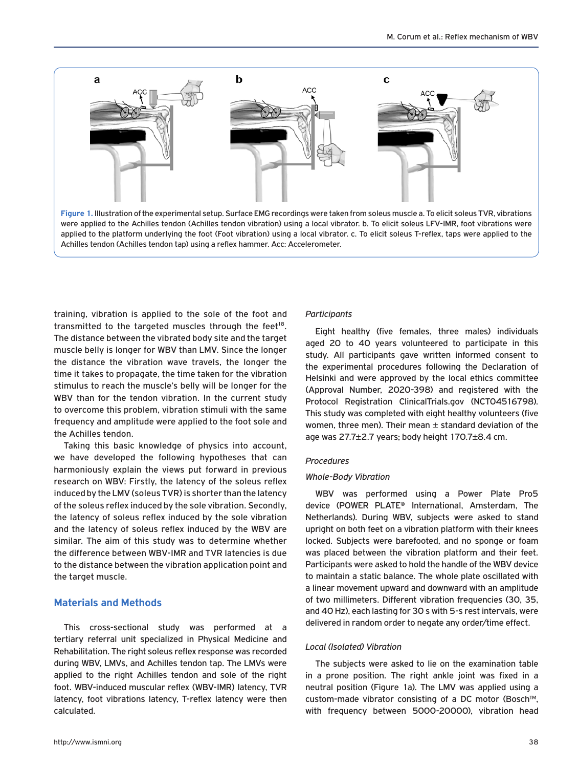

training, vibration is applied to the sole of the foot and transmitted to the targeted muscles through the feet<sup>18</sup>. The distance between the vibrated body site and the target muscle belly is longer for WBV than LMV. Since the longer the distance the vibration wave travels, the longer the time it takes to propagate, the time taken for the vibration stimulus to reach the muscle's belly will be longer for the WBV than for the tendon vibration. In the current study to overcome this problem, vibration stimuli with the same frequency and amplitude were applied to the foot sole and the Achilles tendon.

Taking this basic knowledge of physics into account, we have developed the following hypotheses that can harmoniously explain the views put forward in previous research on WBV: Firstly, the latency of the soleus reflex induced by the LMV (soleus TVR) is shorter than the latency of the soleus reflex induced by the sole vibration. Secondly, the latency of soleus reflex induced by the sole vibration and the latency of soleus reflex induced by the WBV are similar. The aim of this study was to determine whether the difference between WBV-IMR and TVR latencies is due to the distance between the vibration application point and the target muscle.

# **Materials and Methods**

This cross-sectional study was performed at a tertiary referral unit specialized in Physical Medicine and Rehabilitation. The right soleus reflex response was recorded during WBV, LMVs, and Achilles tendon tap. The LMVs were applied to the right Achilles tendon and sole of the right foot. WBV-induced muscular reflex (WBV-IMR) latency, TVR latency, foot vibrations latency, T-reflex latency were then calculated.

#### *Participants*

Eight healthy (five females, three males) individuals aged 20 to 40 years volunteered to participate in this study. All participants gave written informed consent to the experimental procedures following the Declaration of Helsinki and were approved by the local ethics committee (Approval Number, 2020-398) and registered with the Protocol Registration ClinicalTrials.gov (NCT04516798). This study was completed with eight healthy volunteers (five women, three men). Their mean  $\pm$  standard deviation of the age was 27.7±2.7 years; body height 170.7±8.4 cm.

## *Procedures*

#### *Whole-Body Vibration*

WBV was performed using a Power Plate Pro5 device (POWER PLATE® International, Amsterdam, The Netherlands). During WBV, subjects were asked to stand upright on both feet on a vibration platform with their knees locked. Subjects were barefooted, and no sponge or foam was placed between the vibration platform and their feet. Participants were asked to hold the handle of the WBV device to maintain a static balance. The whole plate oscillated with a linear movement upward and downward with an amplitude of two millimeters. Different vibration frequencies (30, 35, and 40 Hz), each lasting for 30 s with 5-s rest intervals, were delivered in random order to negate any order/time effect.

## *Local (Isolated) Vibration*

The subjects were asked to lie on the examination table in a prone position. The right ankle joint was fixed in a neutral position (Figure 1a). The LMV was applied using a custom-made vibrator consisting of a DC motor (Bosch™, with frequency between 5000-20000), vibration head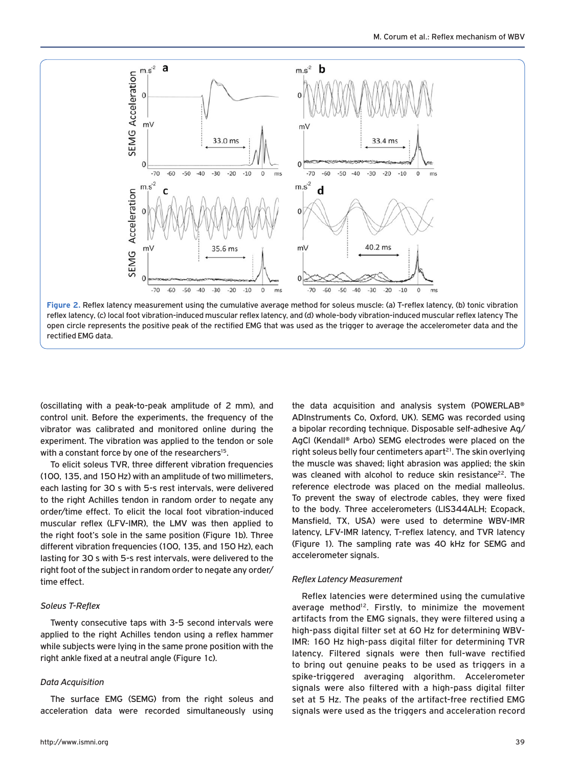

**Figure 2.** Reflex latency measurement using the cumulative average method for soleus muscle: (a) T-reflex latency, (b) tonic vibration reflex latency, (c) local foot vibration-induced muscular reflex latency, and (d) whole-body vibration-induced muscular reflex latency The open circle represents the positive peak of the rectified EMG that was used as the trigger to average the accelerometer data and the rectified EMG data.

(oscillating with a peak-to-peak amplitude of 2 mm), and control unit. Before the experiments, the frequency of the vibrator was calibrated and monitored online during the experiment. The vibration was applied to the tendon or sole with a constant force by one of the researchers<sup>15</sup>.

To elicit soleus TVR, three different vibration frequencies (100, 135, and 150 Hz) with an amplitude of two millimeters, each lasting for 30 s with 5-s rest intervals, were delivered to the right Achilles tendon in random order to negate any order/time effect. To elicit the local foot vibration-induced muscular reflex (LFV-IMR), the LMV was then applied to the right foot's sole in the same position (Figure 1b). Three different vibration frequencies (100, 135, and 150 Hz), each lasting for 30 s with 5-s rest intervals, were delivered to the right foot of the subject in random order to negate any order/ time effect.

## *Soleus T-Reflex*

Twenty consecutive taps with 3-5 second intervals were applied to the right Achilles tendon using a reflex hammer while subjects were lying in the same prone position with the right ankle fixed at a neutral angle (Figure 1c).

#### *Data Acquisition*

The surface EMG (SEMG) from the right soleus and acceleration data were recorded simultaneously using

the data acquisition and analysis system (POWERLAB® ADInstruments Co, Oxford, UK). SEMG was recorded using a bipolar recording technique. Disposable self-adhesive Ag/ AgCl (Kendall® Arbo) SEMG electrodes were placed on the right soleus belly four centimeters apart $21$ . The skin overlying the muscle was shaved; light abrasion was applied; the skin was cleaned with alcohol to reduce skin resistance<sup>22</sup>. The reference electrode was placed on the medial malleolus. To prevent the sway of electrode cables, they were fixed to the body. Three accelerometers (LIS344ALH; Ecopack, Mansfield, TX, USA) were used to determine WBV-IMR latency, LFV-IMR latency, T-reflex latency, and TVR latency (Figure 1). The sampling rate was 40 kHz for SEMG and accelerometer signals.

#### *Reflex Latency Measurement*

Reflex latencies were determined using the cumulative average method<sup>12</sup>. Firstly, to minimize the movement artifacts from the EMG signals, they were filtered using a high-pass digital filter set at 60 Hz for determining WBV-IMR: 160 Hz high-pass digital filter for determining TVR latency. Filtered signals were then full-wave rectified to bring out genuine peaks to be used as triggers in a spike-triggered averaging algorithm. Accelerometer signals were also filtered with a high-pass digital filter set at 5 Hz. The peaks of the artifact-free rectified EMG signals were used as the triggers and acceleration record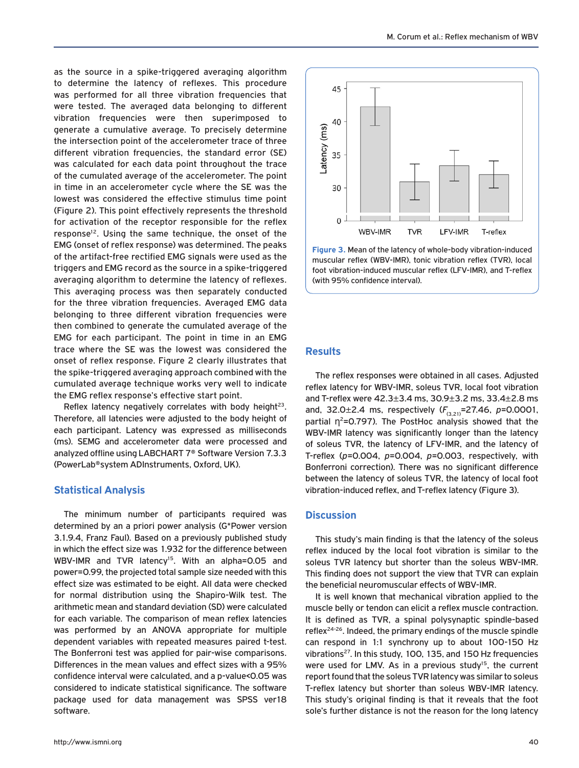as the source in a spike-triggered averaging algorithm to determine the latency of reflexes. This procedure was performed for all three vibration frequencies that were tested. The averaged data belonging to different vibration frequencies were then superimposed to generate a cumulative average. To precisely determine the intersection point of the accelerometer trace of three different vibration frequencies, the standard error (SE) was calculated for each data point throughout the trace of the cumulated average of the accelerometer. The point in time in an accelerometer cycle where the SE was the lowest was considered the effective stimulus time point (Figure 2). This point effectively represents the threshold for activation of the receptor responsible for the reflex response<sup>12</sup>. Using the same technique, the onset of the EMG (onset of reflex response) was determined. The peaks of the artifact-free rectified EMG signals were used as the triggers and EMG record as the source in a spike-triggered averaging algorithm to determine the latency of reflexes. This averaging process was then separately conducted for the three vibration frequencies. Averaged EMG data belonging to three different vibration frequencies were then combined to generate the cumulated average of the EMG for each participant. The point in time in an EMG trace where the SE was the lowest was considered the onset of reflex response. Figure 2 clearly illustrates that the spike-triggered averaging approach combined with the cumulated average technique works very well to indicate the EMG reflex response's effective start point.

Reflex latency negatively correlates with body height $23$ . Therefore, all latencies were adjusted to the body height of each participant. Latency was expressed as milliseconds (ms). SEMG and accelerometer data were processed and analyzed offline using LABCHART 7® Software Version 7.3.3 (PowerLab®system ADInstruments, Oxford, UK).

# **Statistical Analysis**

The minimum number of participants required was determined by an a priori power analysis (G\*Power version 3.1.9.4, Franz Faul). Based on a previously published study in which the effect size was 1.932 for the difference between WBV-IMR and TVR latency<sup>15</sup>. With an alpha=0.05 and power=0.99, the projected total sample size needed with this effect size was estimated to be eight. All data were checked for normal distribution using the Shapiro-Wilk test. The arithmetic mean and standard deviation (SD) were calculated for each variable. The comparison of mean reflex latencies was performed by an ANOVA appropriate for multiple dependent variables with repeated measures paired t-test. The Bonferroni test was applied for pair-wise comparisons. Differences in the mean values and effect sizes with a 95% confidence interval were calculated, and a p-value<0.05 was considered to indicate statistical significance. The software package used for data management was SPSS ver18 software.



**Figure 3.** Mean of the latency of whole-body vibration-induced muscular reflex (WBV-IMR), tonic vibration reflex (TVR), local foot vibration-induced muscular reflex (LFV-IMR), and T-reflex (with 95% confidence interval).

# **Results**

The reflex responses were obtained in all cases. Adjusted reflex latency for WBV-IMR, soleus TVR, local foot vibration and T-reflex were 42.3±3.4 ms, 30.9±3.2 ms, 33.4±2.8 ms and, 32.0±2.4 ms, respectively ( $F_{(3,21)}$ =27.46, *p*=0.0001, partial  $\eta^2$ =0.797). The PostHoc analysis showed that the WBV-IMR latency was significantly longer than the latency of soleus TVR, the latency of LFV-IMR, and the latency of T-reflex (*p*=0.004, *p*=0.004, *p*=0.003, respectively, with Bonferroni correction). There was no significant difference between the latency of soleus TVR, the latency of local foot vibration-induced reflex, and T-reflex latency (Figure 3).

# **Discussion**

This study's main finding is that the latency of the soleus reflex induced by the local foot vibration is similar to the soleus TVR latency but shorter than the soleus WBV-IMR. This finding does not support the view that TVR can explain the beneficial neuromuscular effects of WBV-IMR.

It is well known that mechanical vibration applied to the muscle belly or tendon can elicit a reflex muscle contraction. It is defined as TVR, a spinal polysynaptic spindle-based reflex<sup>24-26</sup>. Indeed, the primary endings of the muscle spindle can respond in 1:1 synchrony up to about 100-150 Hz vibrations<sup>27</sup>. In this study, 100, 135, and 150 Hz frequencies were used for LMV. As in a previous study<sup>15</sup>, the current report found that the soleus TVR latency was similar to soleus T-reflex latency but shorter than soleus WBV-IMR latency. This study's original finding is that it reveals that the foot sole's further distance is not the reason for the long latency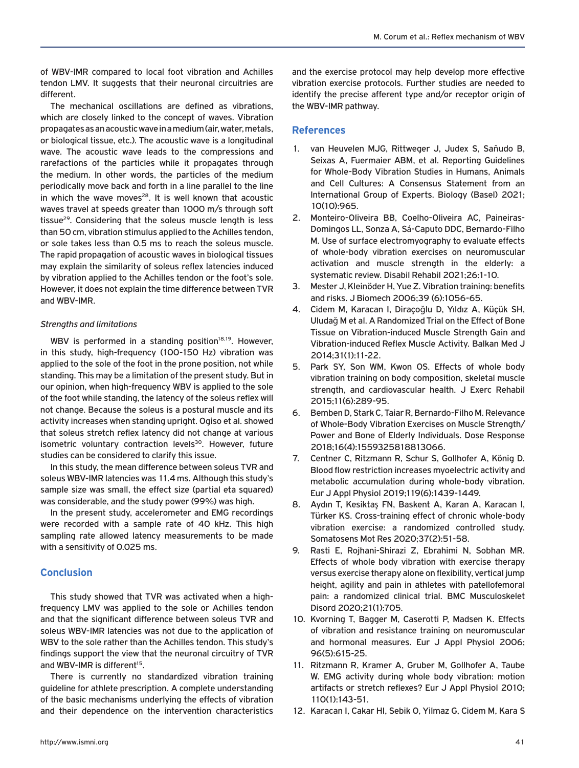of WBV-IMR compared to local foot vibration and Achilles tendon LMV. It suggests that their neuronal circuitries are different.

The mechanical oscillations are defined as vibrations, which are closely linked to the concept of waves. Vibration propagates as an acoustic wave in a medium (air, water, metals, or biological tissue, etc.). The acoustic wave is a longitudinal wave. The acoustic wave leads to the compressions and rarefactions of the particles while it propagates through the medium. In other words, the particles of the medium periodically move back and forth in a line parallel to the line in which the wave moves $28$ . It is well known that acoustic waves travel at speeds greater than 1000 m/s through soft tissue<sup>29</sup>. Considering that the soleus muscle length is less than 50 cm, vibration stimulus applied to the Achilles tendon, or sole takes less than 0.5 ms to reach the soleus muscle. The rapid propagation of acoustic waves in biological tissues may explain the similarity of soleus reflex latencies induced by vibration applied to the Achilles tendon or the foot's sole. However, it does not explain the time difference between TVR and WBV-IMR.

## *Strengths and limitations*

WBV is performed in a standing position $18,19$ . However, in this study, high-frequency (100-150 Hz) vibration was applied to the sole of the foot in the prone position, not while standing. This may be a limitation of the present study. But in our opinion, when high-frequency WBV is applied to the sole of the foot while standing, the latency of the soleus reflex will not change. Because the soleus is a postural muscle and its activity increases when standing upright. Ogiso et al. showed that soleus stretch reflex latency did not change at various isometric voluntary contraction levels<sup>30</sup>. However, future studies can be considered to clarify this issue.

In this study, the mean difference between soleus TVR and soleus WBV-IMR latencies was 11.4 ms. Although this study's sample size was small, the effect size (partial eta squared) was considerable, and the study power (99%) was high.

In the present study, accelerometer and EMG recordings were recorded with a sample rate of 40 kHz. This high sampling rate allowed latency measurements to be made with a sensitivity of 0.025 ms.

# **Conclusion**

This study showed that TVR was activated when a highfrequency LMV was applied to the sole or Achilles tendon and that the significant difference between soleus TVR and soleus WBV-IMR latencies was not due to the application of WBV to the sole rather than the Achilles tendon. This study's findings support the view that the neuronal circuitry of TVR and WBV-IMR is different<sup>15</sup>.

There is currently no standardized vibration training guideline for athlete prescription. A complete understanding of the basic mechanisms underlying the effects of vibration and their dependence on the intervention characteristics

and the exercise protocol may help develop more effective vibration exercise protocols. Further studies are needed to identify the precise afferent type and/or receptor origin of the WBV-IMR pathway.

# **References**

- 1. van Heuvelen MJG, Rittweger J, Judex S, Sañudo B, Seixas A, Fuermaier ABM, et al. Reporting Guidelines for Whole-Body Vibration Studies in Humans, Animals and Cell Cultures: A Consensus Statement from an International Group of Experts. Biology (Basel) 2021; 10(10):965.
- 2. Monteiro-Oliveira BB, Coelho-Oliveira AC, Paineiras-Domingos LL, Sonza A, Sá-Caputo DDC, Bernardo-Filho M. Use of surface electromyography to evaluate effects of whole-body vibration exercises on neuromuscular activation and muscle strength in the elderly: a systematic review. Disabil Rehabil 2021;26:1-10.
- 3. Mester J, Kleinöder H, Yue Z. Vibration training: benefits and risks. J Biomech 2006;39 (6):1056-65.
- 4. Cidem M, Karacan I, Diraçoğlu D, Yıldız A, Küçük SH, Uludağ M et al. A Randomized Trial on the Effect of Bone Tissue on Vibration-induced Muscle Strength Gain and Vibration-induced Reflex Muscle Activity. Balkan Med J 2014;31(1):11-22.
- 5. Park SY, Son WM, Kwon OS. Effects of whole body vibration training on body composition, skeletal muscle strength, and cardiovascular health. J Exerc Rehabil 2015;11(6):289-95.
- 6. Bemben D, Stark C, Taiar R, Bernardo-Filho M. Relevance of Whole-Body Vibration Exercises on Muscle Strength/ Power and Bone of Elderly Individuals. Dose Response 2018;16(4):1559325818813066.
- 7. Centner C, Ritzmann R, Schur S, Gollhofer A, König D. Blood flow restriction increases myoelectric activity and metabolic accumulation during whole-body vibration. Eur J Appl Physiol 2019;119(6):1439-1449.
- 8. Aydın T, Kesiktaş FN, Baskent A, Karan A, Karacan I, Türker KS. Cross-training effect of chronic whole-body vibration exercise: a randomized controlled study. Somatosens Mot Res 2020;37(2):51-58.
- 9. Rasti E, Rojhani-Shirazi Z, Ebrahimi N, Sobhan MR. Effects of whole body vibration with exercise therapy versus exercise therapy alone on flexibility, vertical jump height, agility and pain in athletes with patellofemoral pain: a randomized clinical trial. BMC Musculoskelet Disord 2020;21(1):705.
- 10. Kvorning T, Bagger M, Caserotti P, Madsen K. Effects of vibration and resistance training on neuromuscular and hormonal measures. Eur J Appl Physiol 2006; 96(5):615-25.
- 11. Ritzmann R, Kramer A, Gruber M, Gollhofer A, Taube W. EMG activity during whole body vibration: motion artifacts or stretch reflexes? Eur J Appl Physiol 2010; 110(1):143-51.
- 12. Karacan I, Cakar HI, Sebik O, Yilmaz G, Cidem M, Kara S